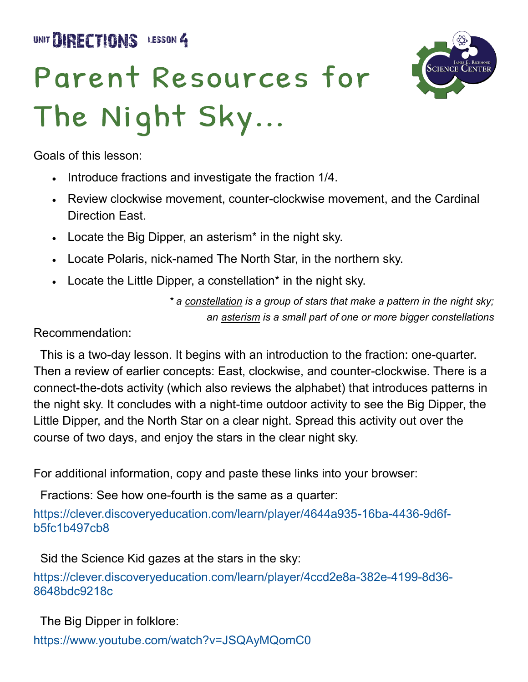UNIT **BIRECTIONS** LESSON 4

# Parent Resources for The Night Sky...



Goals of this lesson:

- Introduce fractions and investigate the fraction 1/4.
- Review clockwise movement, counter-clockwise movement, and the Cardinal Direction East.
- Locate the Big Dipper, an asterism\* in the night sky.
- Locate Polaris, nick-named The North Star, in the northern sky.
- Locate the Little Dipper, a constellation\* in the night sky.

*\* a constellation is a group of stars that make a pattern in the night sky; an asterism is a small part of one or more bigger constellations*

#### Recommendation:

 This is a two-day lesson. It begins with an introduction to the fraction: one-quarter. Then a review of earlier concepts: East, clockwise, and counter-clockwise. There is a connect-the-dots activity (which also reviews the alphabet) that introduces patterns in the night sky. It concludes with a night-time outdoor activity to see the Big Dipper, the Little Dipper, and the North Star on a clear night. Spread this activity out over the course of two days, and enjoy the stars in the clear night sky.

For additional information, copy and paste these links into your browser:

Fractions: See how one-fourth is the same as a quarter:

https://clever.discoveryeducation.com/learn/player/4644a935-16ba-4436-9d6fb5fc1b497cb8

Sid the Science Kid gazes at the stars in the sky:

https://clever.discoveryeducation.com/learn/player/4ccd2e8a-382e-4199-8d36- 8648bdc9218c

The Big Dipper in folklore:

<https://www.youtube.com/watch?v=JSQAyMQomC0>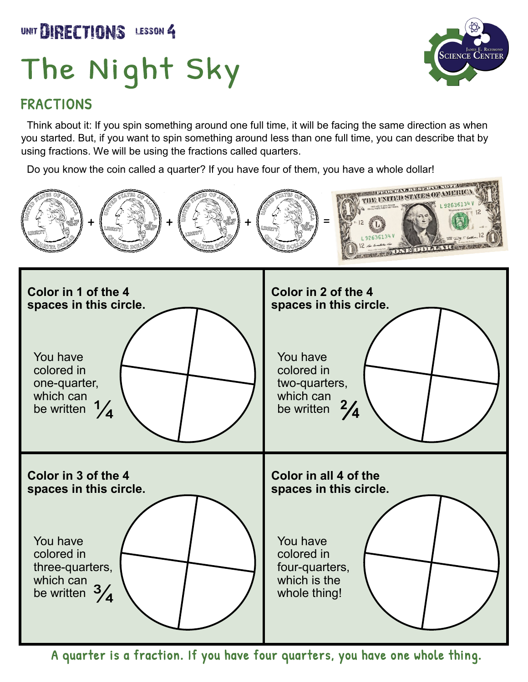### UNIT DIRECTIONS LESSON 4

# The Night Sky

#### FRACTIONS

 Think about it: If you spin something around one full time, it will be facing the same direction as when you started. But, if you want to spin something around less than one full time, you can describe that by using fractions. We will be using the fractions called quarters.

Do you know the coin called a quarter? If you have four of them, you have a whole dollar!



A quarter is a fraction. If you have four quarters, you have one whole thing.

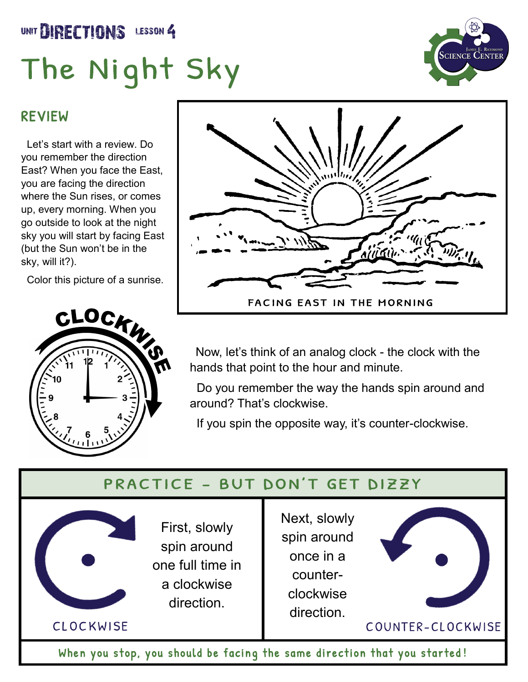### UNIT DIRECTIONS LESSON 4

# The Night Sky



#### REVIEW

 Let's start with a review. Do you remember the direction East? When you face the East, you are facing the direction where the Sun rises, or comes up, every morning. When you go outside to look at the night sky you will start by facing East (but the Sun won't be in the sky, will it?).

Color this picture of a sunrise.





 Now, let's think of an analog clock - the clock with the hands that point to the hour and minute.

 Do you remember the way the hands spin around and around? That's clockwise.

If you spin the opposite way, it's counter-clockwise.

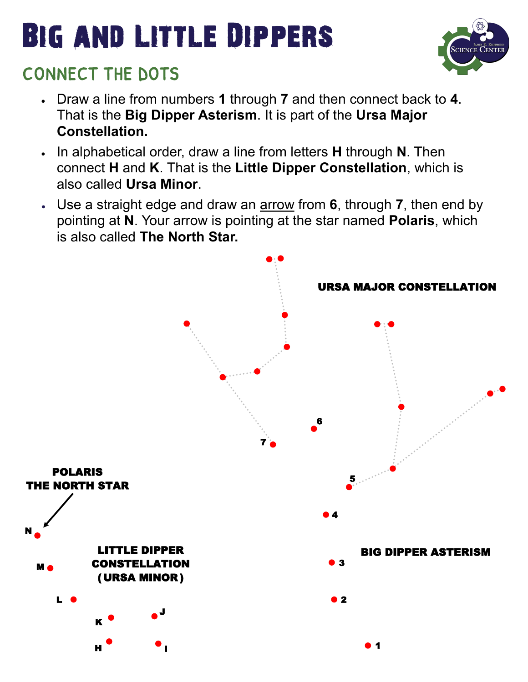## Big and Little Dippers



### CONNECT THE DOTS

- Draw a line from numbers **1** through **7** and then connect back to **4**. That is the **Big Dipper Asterism**. It is part of the **Ursa Major Constellation.**
- In alphabetical order, draw a line from letters **H** through **N**. Then connect **H** and **K**. That is the **Little Dipper Constellation**, which is also called **Ursa Minor**.
- Use a straight edge and draw an arrow from **6**, through **7**, then end by pointing at **N**. Your arrow is pointing at the star named **Polaris**, which is also called **The North Star.**